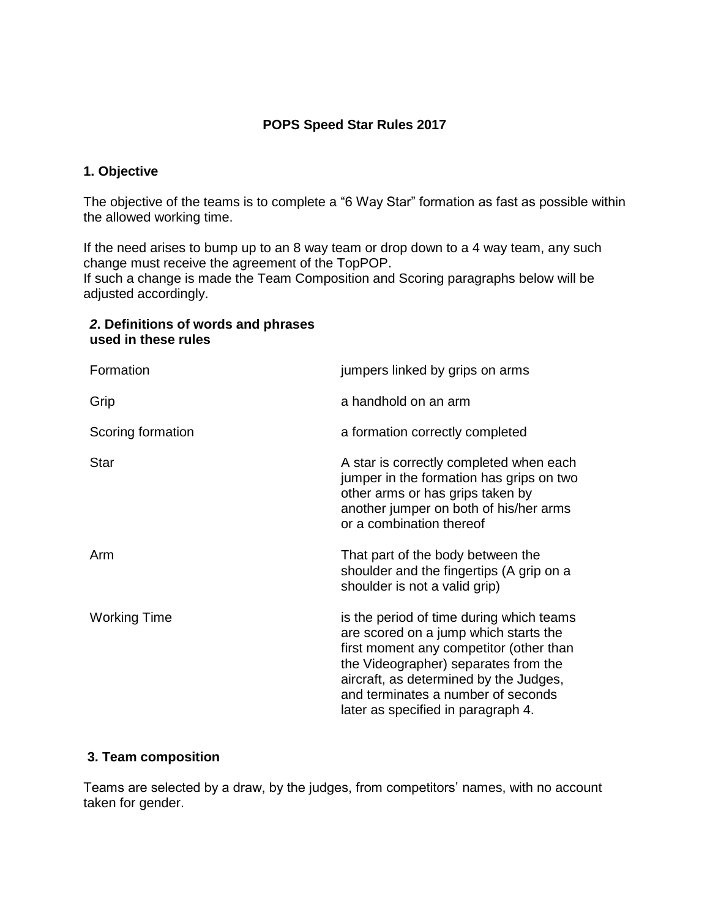## **POPS Speed Star Rules 2017**

#### **1. Objective**

The objective of the teams is to complete a "6 Way Star" formation as fast as possible within the allowed working time.

If the need arises to bump up to an 8 way team or drop down to a 4 way team, any such change must receive the agreement of the TopPOP.

If such a change is made the Team Composition and Scoring paragraphs below will be adjusted accordingly.

## *2***. Definitions of words and phrases used in these rules**

| Formation           | jumpers linked by grips on arms                                                                                                                                                                                                                                                            |
|---------------------|--------------------------------------------------------------------------------------------------------------------------------------------------------------------------------------------------------------------------------------------------------------------------------------------|
| Grip                | a handhold on an arm                                                                                                                                                                                                                                                                       |
| Scoring formation   | a formation correctly completed                                                                                                                                                                                                                                                            |
| <b>Star</b>         | A star is correctly completed when each<br>jumper in the formation has grips on two<br>other arms or has grips taken by<br>another jumper on both of his/her arms<br>or a combination thereof                                                                                              |
| Arm                 | That part of the body between the<br>shoulder and the fingertips (A grip on a<br>shoulder is not a valid grip)                                                                                                                                                                             |
| <b>Working Time</b> | is the period of time during which teams<br>are scored on a jump which starts the<br>first moment any competitor (other than<br>the Videographer) separates from the<br>aircraft, as determined by the Judges,<br>and terminates a number of seconds<br>later as specified in paragraph 4. |

#### **3. Team composition**

Teams are selected by a draw, by the judges, from competitors' names, with no account taken for gender.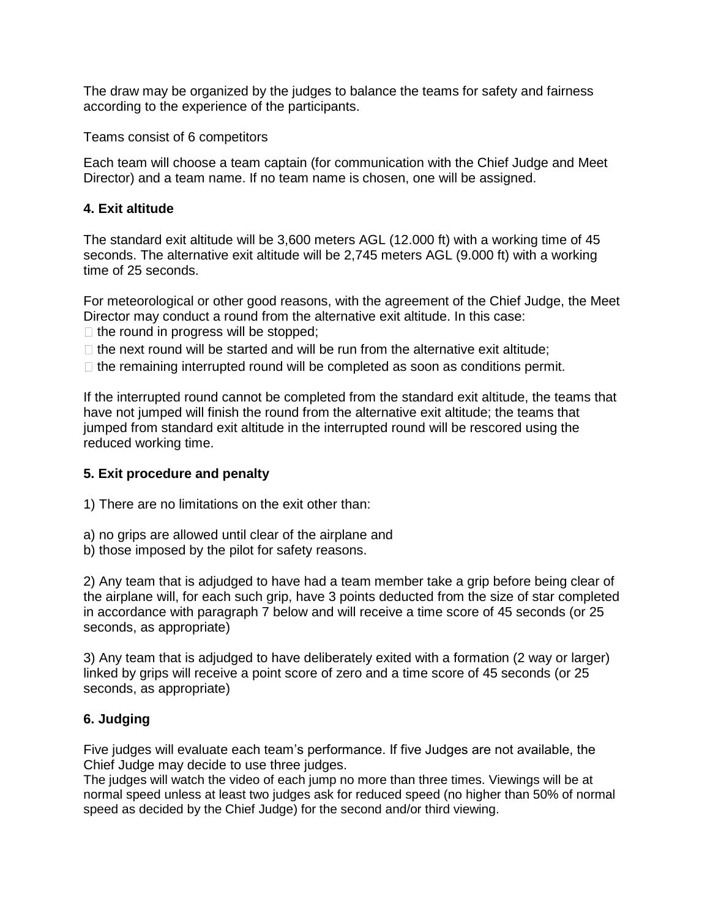The draw may be organized by the judges to balance the teams for safety and fairness according to the experience of the participants.

Teams consist of 6 competitors

Each team will choose a team captain (for communication with the Chief Judge and Meet Director) and a team name. If no team name is chosen, one will be assigned.

## **4. Exit altitude**

The standard exit altitude will be 3,600 meters AGL (12.000 ft) with a working time of 45 seconds. The alternative exit altitude will be 2,745 meters AGL (9.000 ft) with a working time of 25 seconds.

For meteorological or other good reasons, with the agreement of the Chief Judge, the Meet Director may conduct a round from the alternative exit altitude. In this case:

 $\Box$  the round in progress will be stopped;

- $\Box$  the next round will be started and will be run from the alternative exit altitude;
- $\Box$  the remaining interrupted round will be completed as soon as conditions permit.

If the interrupted round cannot be completed from the standard exit altitude, the teams that have not jumped will finish the round from the alternative exit altitude; the teams that jumped from standard exit altitude in the interrupted round will be rescored using the reduced working time.

## **5. Exit procedure and penalty**

1) There are no limitations on the exit other than:

- a) no grips are allowed until clear of the airplane and
- b) those imposed by the pilot for safety reasons.

2) Any team that is adjudged to have had a team member take a grip before being clear of the airplane will, for each such grip, have 3 points deducted from the size of star completed in accordance with paragraph 7 below and will receive a time score of 45 seconds (or 25 seconds, as appropriate)

3) Any team that is adjudged to have deliberately exited with a formation (2 way or larger) linked by grips will receive a point score of zero and a time score of 45 seconds (or 25 seconds, as appropriate)

## **6. Judging**

Five judges will evaluate each team's performance. If five Judges are not available, the Chief Judge may decide to use three judges.

The judges will watch the video of each jump no more than three times. Viewings will be at normal speed unless at least two judges ask for reduced speed (no higher than 50% of normal speed as decided by the Chief Judge) for the second and/or third viewing.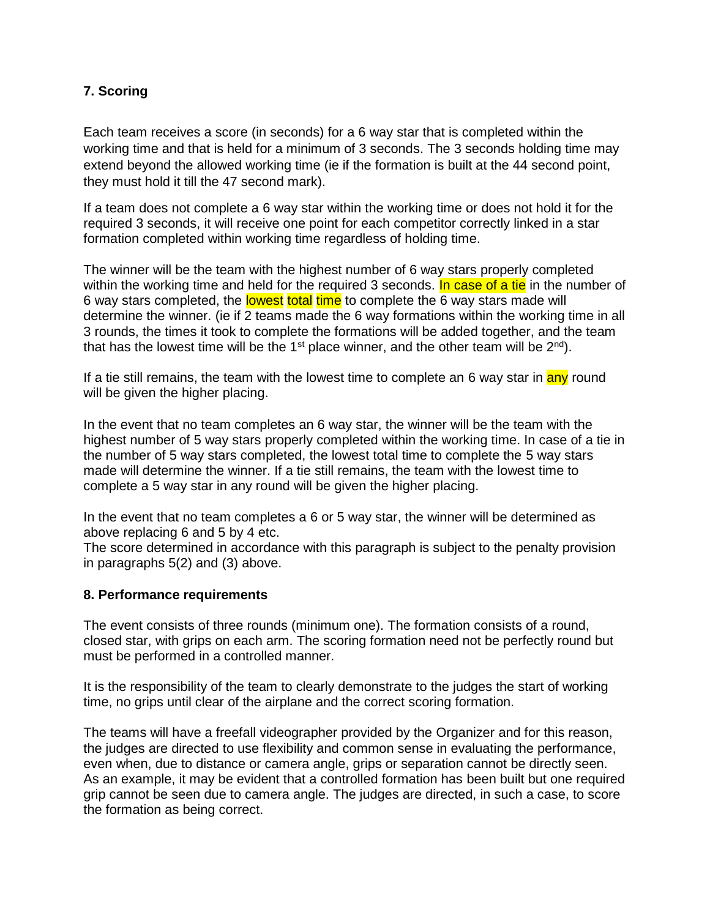## **7. Scoring**

Each team receives a score (in seconds) for a 6 way star that is completed within the working time and that is held for a minimum of 3 seconds. The 3 seconds holding time may extend beyond the allowed working time (ie if the formation is built at the 44 second point, they must hold it till the 47 second mark).

If a team does not complete a 6 way star within the working time or does not hold it for the required 3 seconds, it will receive one point for each competitor correctly linked in a star formation completed within working time regardless of holding time.

The winner will be the team with the highest number of 6 way stars properly completed within the working time and held for the required 3 seconds. In case of a tie in the number of 6 way stars completed, the lowest total time to complete the 6 way stars made will determine the winner. (ie if 2 teams made the 6 way formations within the working time in all 3 rounds, the times it took to complete the formations will be added together, and the team that has the lowest time will be the 1<sup>st</sup> place winner, and the other team will be  $2^{nd}$ ).

If a tie still remains, the team with the lowest time to complete an 6 way star in any round will be given the higher placing.

In the event that no team completes an 6 way star, the winner will be the team with the highest number of 5 way stars properly completed within the working time. In case of a tie in the number of 5 way stars completed, the lowest total time to complete the 5 way stars made will determine the winner. If a tie still remains, the team with the lowest time to complete a 5 way star in any round will be given the higher placing.

In the event that no team completes a 6 or 5 way star, the winner will be determined as above replacing 6 and 5 by 4 etc.

The score determined in accordance with this paragraph is subject to the penalty provision in paragraphs 5(2) and (3) above.

#### **8. Performance requirements**

The event consists of three rounds (minimum one). The formation consists of a round, closed star, with grips on each arm. The scoring formation need not be perfectly round but must be performed in a controlled manner.

It is the responsibility of the team to clearly demonstrate to the judges the start of working time, no grips until clear of the airplane and the correct scoring formation.

The teams will have a freefall videographer provided by the Organizer and for this reason, the judges are directed to use flexibility and common sense in evaluating the performance, even when, due to distance or camera angle, grips or separation cannot be directly seen. As an example, it may be evident that a controlled formation has been built but one required grip cannot be seen due to camera angle. The judges are directed, in such a case, to score the formation as being correct.